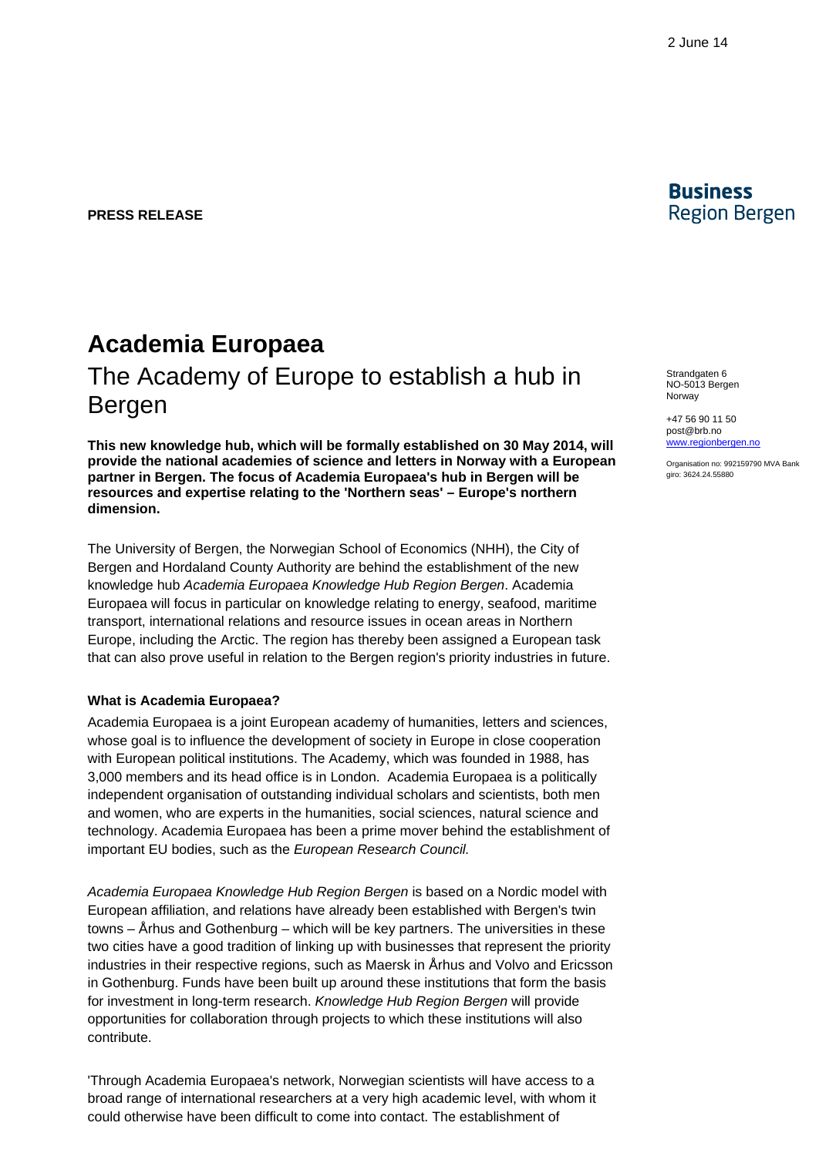**PRESS RELEASE**

# **Academia Europaea** The Academy of Europe to establish a hub in Bergen

**This new knowledge hub, which will be formally established on 30 May 2014, will provide the national academies of science and letters in Norway with a European partner in Bergen. The focus of Academia Europaea's hub in Bergen will be resources and expertise relating to the 'Northern seas' – Europe's northern dimension.** 

The University of Bergen, the Norwegian School of Economics (NHH), the City of Bergen and Hordaland County Authority are behind the establishment of the new knowledge hub *Academia Europaea Knowledge Hub Region Bergen*. Academia Europaea will focus in particular on knowledge relating to energy, seafood, maritime transport, international relations and resource issues in ocean areas in Northern Europe, including the Arctic. The region has thereby been assigned a European task that can also prove useful in relation to the Bergen region's priority industries in future.

#### **What is Academia Europaea?**

Academia Europaea is a joint European academy of humanities, letters and sciences, whose goal is to influence the development of society in Europe in close cooperation with European political institutions. The Academy, which was founded in 1988, has 3,000 members and its head office is in London. Academia Europaea is a politically independent organisation of outstanding individual scholars and scientists, both men and women, who are experts in the humanities, social sciences, natural science and technology. Academia Europaea has been a prime mover behind the establishment of important EU bodies, such as the *European Research Council.* 

*Academia Europaea Knowledge Hub Region Bergen* is based on a Nordic model with European affiliation, and relations have already been established with Bergen's twin towns – Århus and Gothenburg – which will be key partners. The universities in these two cities have a good tradition of linking up with businesses that represent the priority industries in their respective regions, such as Maersk in Århus and Volvo and Ericsson in Gothenburg. Funds have been built up around these institutions that form the basis for investment in long-term research. *Knowledge Hub Region Bergen* will provide opportunities for collaboration through projects to which these institutions will also contribute.

'Through Academia Europaea's network, Norwegian scientists will have access to a broad range of international researchers at a very high academic level, with whom it could otherwise have been difficult to come into contact. The establishment of



Strandgaten 6 NO-5013 Bergen Norway

+47 56 90 11 5[0](mailto:post@brb.no) [post@brb.no](mailto:post@brb.no)  [www.regionbergen.no](http://www.regionbergen.no/)

Organisation no: 992159790 MVA Bank giro: 3624.24.55880